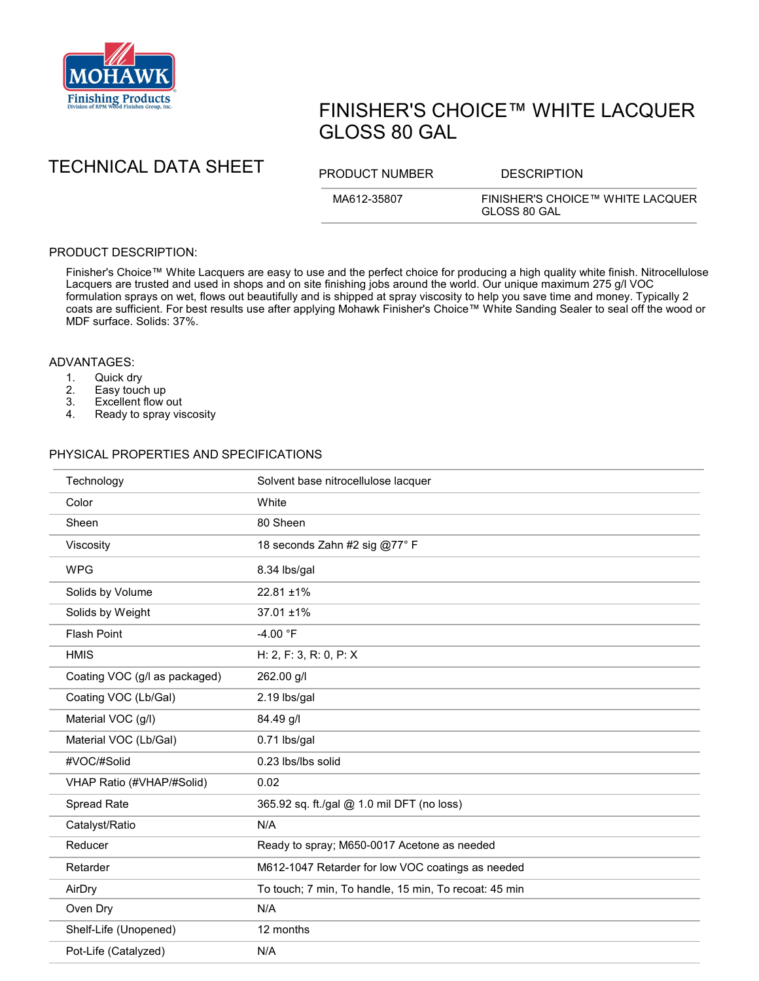

# FINISHER'S CHOICE™ WHITE LACQUER GLOSS 80 GAL

TECHNICAL DATA SHEET PRODUCT NUMBER DESCRIPTION

MA612-35807 FINISHER'S CHOICE™ WHITE LACQUER GLOSS 80 GAL

## PRODUCT DESCRIPTION:

Finisher's Choice™ White Lacquers are easy to use and the perfect choice for producing a high quality white finish. Nitrocellulose Lacquers are trusted and used in shops and on site finishing jobs around the world. Our unique maximum 275 g/l VOC formulation sprays on wet, flows out beautifully and is shipped at spray viscosity to help you save time and money. Typically 2 coats are sufficient. For best results use after applying Mohawk Finisher's Choice™ White Sanding Sealer to seal off the wood or MDF surface. Solids: 37%.

### ADVANTAGES:

- 1. Quick dry<br>2. Easy touc
- 
- 2. Easy touch up<br>3. Excellent flow 3. Excellent flow out<br>4. Ready to spray vis
- Ready to spray viscosity

#### PHYSICAL PROPERTIES AND SPECIFICATIONS

| Technology                    | Solvent base nitrocellulose lacquer                   |
|-------------------------------|-------------------------------------------------------|
| Color                         | White                                                 |
| Sheen                         | 80 Sheen                                              |
| Viscosity                     | 18 seconds Zahn #2 sig @77° F                         |
| <b>WPG</b>                    | 8.34 lbs/gal                                          |
| Solids by Volume              | $22.81 \pm 1\%$                                       |
| Solids by Weight              | $37.01 \pm 1\%$                                       |
| <b>Flash Point</b>            | -4.00 °F                                              |
| <b>HMIS</b>                   | H: 2, F: 3, R: 0, P: X                                |
| Coating VOC (g/l as packaged) | 262.00 g/l                                            |
| Coating VOC (Lb/Gal)          | 2.19 lbs/gal                                          |
| Material VOC (g/l)            | 84.49 g/l                                             |
| Material VOC (Lb/Gal)         | 0.71 lbs/gal                                          |
| #VOC/#Solid                   | 0.23 lbs/lbs solid                                    |
| VHAP Ratio (#VHAP/#Solid)     | 0.02                                                  |
| Spread Rate                   | 365.92 sq. ft./gal @ 1.0 mil DFT (no loss)            |
| Catalyst/Ratio                | N/A                                                   |
| Reducer                       | Ready to spray; M650-0017 Acetone as needed           |
| Retarder                      | M612-1047 Retarder for low VOC coatings as needed     |
| AirDry                        | To touch; 7 min, To handle, 15 min, To recoat: 45 min |
| Oven Dry                      | N/A                                                   |
| Shelf-Life (Unopened)         | 12 months                                             |
| Pot-Life (Catalyzed)          | N/A                                                   |